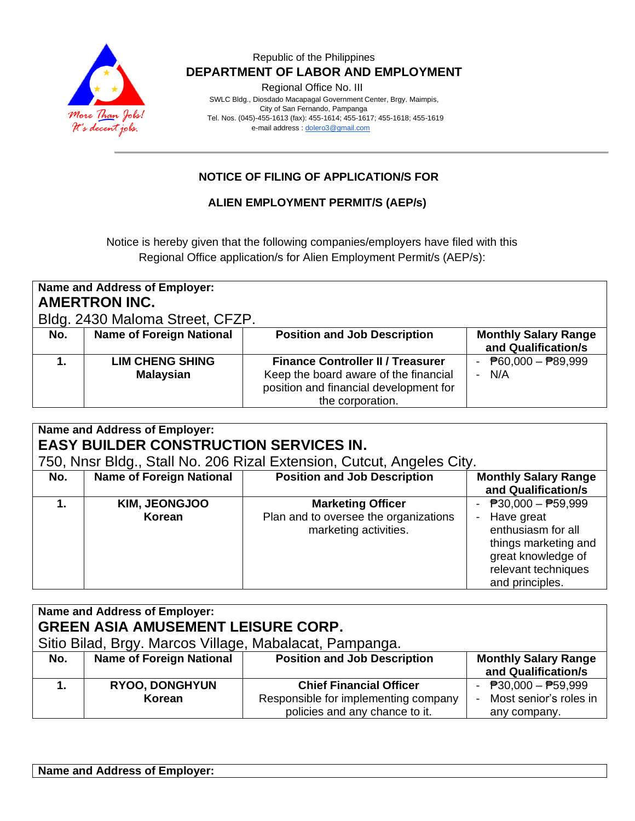

Regional Office No. III

 SWLC Bldg., Diosdado Macapagal Government Center, Brgy. Maimpis, City of San Fernando, Pampanga Tel. Nos. (045)-455-1613 (fax): 455-1614; 455-1617; 455-1618; 455-1619 e-mail address [: dolero3@gmail.com](mailto:dolero3@gmail.com)

# **NOTICE OF FILING OF APPLICATION/S FOR**

#### **ALIEN EMPLOYMENT PERMIT/S (AEP/s)**

Notice is hereby given that the following companies/employers have filed with this Regional Office application/s for Alien Employment Permit/s (AEP/s):

| Name and Address of Employer:<br><b>AMERTRON INC.</b><br>Bldg. 2430 Maloma Street, CFZP. |                                            |                                                                                                                                                 |                                                        |  |
|------------------------------------------------------------------------------------------|--------------------------------------------|-------------------------------------------------------------------------------------------------------------------------------------------------|--------------------------------------------------------|--|
| No.                                                                                      | <b>Name of Foreign National</b>            | <b>Position and Job Description</b>                                                                                                             | <b>Monthly Salary Range</b><br>and Qualification/s     |  |
|                                                                                          | <b>LIM CHENG SHING</b><br><b>Malaysian</b> | <b>Finance Controller II / Treasurer</b><br>Keep the board aware of the financial<br>position and financial development for<br>the corporation. | - $\overline{P}60,000 - \overline{P}89,999$<br>- $N/A$ |  |

| Name and Address of Employer:<br><b>EASY BUILDER CONSTRUCTION SERVICES IN.</b><br>750, Nnsr Bldg., Stall No. 206 Rizal Extension, Cutcut, Angeles City. |                                 |                                                                                            |                                                                                                                                                     |  |
|---------------------------------------------------------------------------------------------------------------------------------------------------------|---------------------------------|--------------------------------------------------------------------------------------------|-----------------------------------------------------------------------------------------------------------------------------------------------------|--|
| No.                                                                                                                                                     | <b>Name of Foreign National</b> | <b>Position and Job Description</b>                                                        | <b>Monthly Salary Range</b><br>and Qualification/s                                                                                                  |  |
|                                                                                                                                                         | <b>KIM, JEONGJOO</b><br>Korean  | <b>Marketing Officer</b><br>Plan and to oversee the organizations<br>marketing activities. | - $P30,000 - P59,999$<br>- Have great<br>enthusiasm for all<br>things marketing and<br>great knowledge of<br>relevant techniques<br>and principles. |  |

| Name and Address of Employer:<br><b>GREEN ASIA AMUSEMENT LEISURE CORP.</b><br>Sitio Bilad, Brgy. Marcos Village, Mabalacat, Pampanga. |                                 |                                                                                                          |                                                                   |  |
|---------------------------------------------------------------------------------------------------------------------------------------|---------------------------------|----------------------------------------------------------------------------------------------------------|-------------------------------------------------------------------|--|
| No.                                                                                                                                   | <b>Name of Foreign National</b> | <b>Position and Job Description</b>                                                                      | <b>Monthly Salary Range</b><br>and Qualification/s                |  |
|                                                                                                                                       | <b>RYOO, DONGHYUN</b><br>Korean | <b>Chief Financial Officer</b><br>Responsible for implementing company<br>policies and any chance to it. | - $P30,000 - P59,999$<br>- Most senior's roles in<br>any company. |  |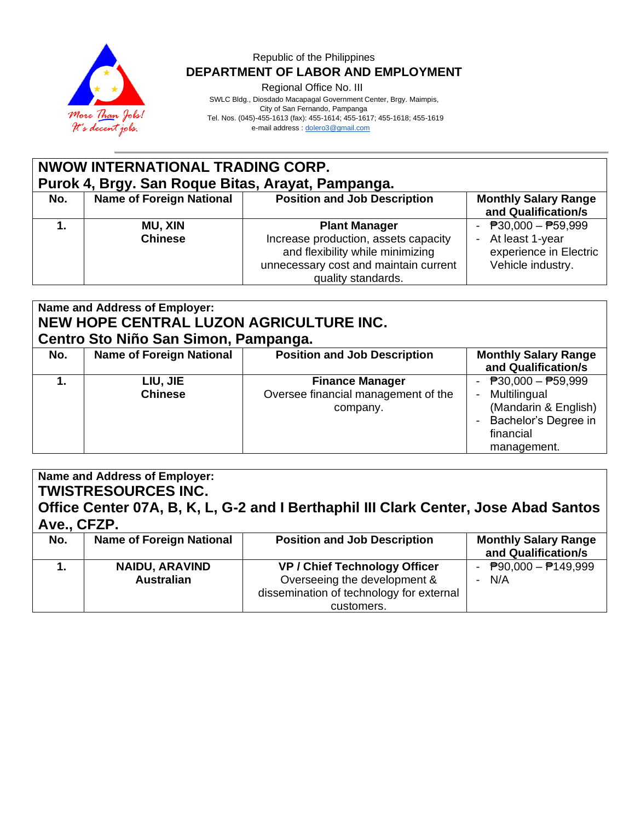

Regional Office No. III

SWLC Bldg., Diosdado Macapagal Government Center, Brgy. Maimpis,

 City of San Fernando, Pampanga Tel. Nos. (045)-455-1613 (fax): 455-1614; 455-1617; 455-1618; 455-1619

e-mail address [: dolero3@gmail.com](mailto:dolero3@gmail.com)

#### **NWOW INTERNATIONAL TRADING CORP. Purok 4, Brgy. San Roque Bitas, Arayat, Pampanga. No. Name of Foreign National Position and Job Description | Monthly Salary Range and Qualification/s 1. MU, XIN Chinese Plant Manager** Increase production, assets capacity and flexibility while minimizing unnecessary cost and maintain current quality standards.  $\overline{P}30,000 - \overline{P}59,999$ At least 1-year experience in Electric Vehicle industry.

| Name and Address of Employer:<br>NEW HOPE CENTRAL LUZON AGRICULTURE INC.<br>Centro Sto Niño San Simon, Pampanga. |                                 |                                                                           |                                                                                                                   |  |
|------------------------------------------------------------------------------------------------------------------|---------------------------------|---------------------------------------------------------------------------|-------------------------------------------------------------------------------------------------------------------|--|
| No.                                                                                                              | <b>Name of Foreign National</b> | <b>Position and Job Description</b>                                       | <b>Monthly Salary Range</b><br>and Qualification/s                                                                |  |
|                                                                                                                  | LIU, JIE<br><b>Chinese</b>      | <b>Finance Manager</b><br>Oversee financial management of the<br>company. | - $P30,000 - P59,999$<br>Multilingual<br>(Mandarin & English)<br>Bachelor's Degree in<br>financial<br>management. |  |

# **Name and Address of Employer: TWISTRESOURCES INC. Office Center 07A, B, K, L, G-2 and I Berthaphil III Clark Center, Jose Abad Santos Ave., CFZP. No. Name of Foreign National Position and Job Description | Monthly Salary Range and Qualification/s**

|                       |                                          | and Qualification/s                          |
|-----------------------|------------------------------------------|----------------------------------------------|
| <b>NAIDU, ARAVIND</b> | <b>VP / Chief Technology Officer</b>     | - $\overline{P}90,000 - \overline{P}149,999$ |
| <b>Australian</b>     | Overseeing the development &             | N/A                                          |
|                       | dissemination of technology for external |                                              |
|                       | customers.                               |                                              |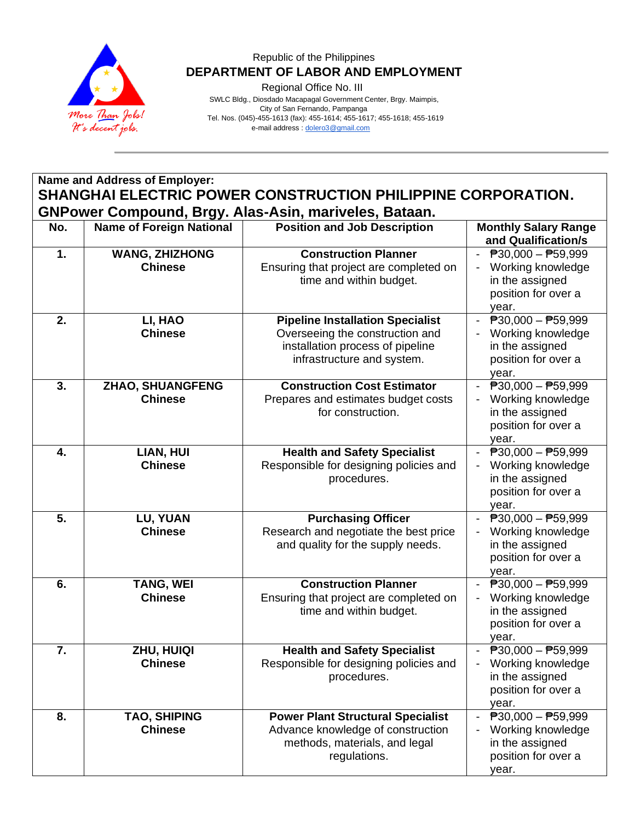

Regional Office No. III

 SWLC Bldg., Diosdado Macapagal Government Center, Brgy. Maimpis, City of San Fernando, Pampanga Tel. Nos. (045)-455-1613 (fax): 455-1614; 455-1617; 455-1618; 455-1619 e-mail address [: dolero3@gmail.com](mailto:dolero3@gmail.com)

# **Name and Address of Employer: SHANGHAI ELECTRIC POWER CONSTRUCTION PHILIPPINE CORPORATION. GNPower Compound, Brgy. Alas-Asin, mariveles, Bataan.**

| No. | <b>Name of Foreign National</b>           | <b>Position and Job Description</b>                                                                                                          | <b>Monthly Salary Range</b><br>and Qualification/s                                                                          |
|-----|-------------------------------------------|----------------------------------------------------------------------------------------------------------------------------------------------|-----------------------------------------------------------------------------------------------------------------------------|
| 1.  | <b>WANG, ZHIZHONG</b><br><b>Chinese</b>   | <b>Construction Planner</b><br>Ensuring that project are completed on<br>time and within budget.                                             | - $P30,000 - P59,999$<br>Working knowledge<br>in the assigned<br>position for over a<br>year.                               |
| 2.  | LI, HAO<br><b>Chinese</b>                 | <b>Pipeline Installation Specialist</b><br>Overseeing the construction and<br>installation process of pipeline<br>infrastructure and system. | $\overline{P}30,000 - \overline{P}59,999$<br>Working knowledge<br>in the assigned<br>position for over a<br>year.           |
| 3.  | <b>ZHAO, SHUANGFENG</b><br><b>Chinese</b> | <b>Construction Cost Estimator</b><br>Prepares and estimates budget costs<br>for construction.                                               | $\overline{P}30,000 - \overline{P}59,999$<br>Working knowledge<br>in the assigned<br>position for over a<br>year.           |
| 4.  | LIAN, HUI<br><b>Chinese</b>               | <b>Health and Safety Specialist</b><br>Responsible for designing policies and<br>procedures.                                                 | $\overline{P}30,000 - \overline{P}59,999$<br>$\sim$<br>Working knowledge<br>in the assigned<br>position for over a<br>year. |
| 5.  | LU, YUAN<br><b>Chinese</b>                | <b>Purchasing Officer</b><br>Research and negotiate the best price<br>and quality for the supply needs.                                      | $\overline{P}30,000 - \overline{P}59,999$<br>Working knowledge<br>in the assigned<br>position for over a<br>year.           |
| 6.  | <b>TANG, WEI</b><br><b>Chinese</b>        | <b>Construction Planner</b><br>Ensuring that project are completed on<br>time and within budget.                                             | $\overline{P}30,000 - \overline{P}59,999$<br>Working knowledge<br>in the assigned<br>position for over a<br>year.           |
| 7.  | ZHU, HUIQI<br><b>Chinese</b>              | <b>Health and Safety Specialist</b><br>Responsible for designing policies and<br>procedures.                                                 | $\overline{P}30,000 - \overline{P}59,999$<br>Working knowledge<br>in the assigned<br>position for over a<br>year.           |
| 8.  | <b>TAO, SHIPING</b><br><b>Chinese</b>     | <b>Power Plant Structural Specialist</b><br>Advance knowledge of construction<br>methods, materials, and legal<br>regulations.               | $\overline{P}30,000 - \overline{P}59,999$<br>Working knowledge<br>in the assigned<br>position for over a<br>year.           |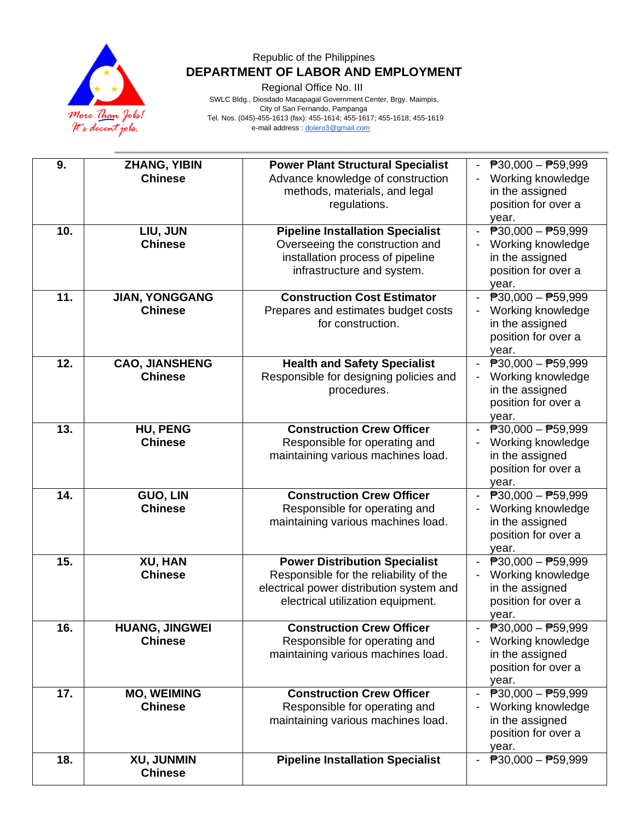

Regional Office No. III

 SWLC Bldg., Diosdado Macapagal Government Center, Brgy. Maimpis, City of San Fernando, Pampanga Tel. Nos. (045)-455-1613 (fax): 455-1614; 455-1617; 455-1618; 455-1619 e-mail address [: dolero3@gmail.com](mailto:dolero3@gmail.com)

| 9.  | <b>ZHANG, YIBIN</b>   | <b>Power Plant Structural Specialist</b> | $\overline{P}30,000 - \overline{P}59,999$                             |
|-----|-----------------------|------------------------------------------|-----------------------------------------------------------------------|
|     | <b>Chinese</b>        | Advance knowledge of construction        | Working knowledge                                                     |
|     |                       | methods, materials, and legal            | in the assigned                                                       |
|     |                       | regulations.                             | position for over a                                                   |
|     |                       |                                          |                                                                       |
|     |                       |                                          | year.                                                                 |
| 10. | LIU, JUN              | <b>Pipeline Installation Specialist</b>  | $\overline{P}30,000 - \overline{P}59,999$<br>$\overline{\phantom{a}}$ |
|     | <b>Chinese</b>        | Overseeing the construction and          | Working knowledge                                                     |
|     |                       | installation process of pipeline         | in the assigned                                                       |
|     |                       | infrastructure and system.               | position for over a                                                   |
|     |                       |                                          | year.                                                                 |
| 11. | <b>JIAN, YONGGANG</b> | <b>Construction Cost Estimator</b>       | $\overline{P}30,000 - \overline{P}59,999$                             |
|     | <b>Chinese</b>        | Prepares and estimates budget costs      | Working knowledge                                                     |
|     |                       | for construction.                        | in the assigned                                                       |
|     |                       |                                          | position for over a                                                   |
|     |                       |                                          | year.                                                                 |
| 12. | <b>CAO, JIANSHENG</b> | <b>Health and Safety Specialist</b>      | $\overline{P}30,000 - \overline{P}59,999$<br>$\sim$                   |
|     | <b>Chinese</b>        | Responsible for designing policies and   | Working knowledge                                                     |
|     |                       |                                          |                                                                       |
|     |                       | procedures.                              | in the assigned                                                       |
|     |                       |                                          | position for over a                                                   |
|     |                       |                                          | year.                                                                 |
| 13. | <b>HU, PENG</b>       | <b>Construction Crew Officer</b>         | - $P30,000 - P59,999$                                                 |
|     | <b>Chinese</b>        | Responsible for operating and            | Working knowledge                                                     |
|     |                       | maintaining various machines load.       | in the assigned                                                       |
|     |                       |                                          | position for over a                                                   |
|     |                       |                                          | year.                                                                 |
| 14. | <b>GUO, LIN</b>       | <b>Construction Crew Officer</b>         | $\overline{P}30,000 - \overline{P}59,999$                             |
|     | <b>Chinese</b>        | Responsible for operating and            | Working knowledge                                                     |
|     |                       | maintaining various machines load.       | in the assigned                                                       |
|     |                       |                                          | position for over a                                                   |
|     |                       |                                          | year.                                                                 |
| 15. | XU, HAN               | <b>Power Distribution Specialist</b>     | $\overline{P}30,000 - \overline{P}59,999$                             |
|     | <b>Chinese</b>        | Responsible for the reliability of the   | Working knowledge<br>$\overline{\phantom{a}}$                         |
|     |                       | electrical power distribution system and | in the assigned                                                       |
|     |                       |                                          | position for over a                                                   |
|     |                       | electrical utilization equipment.        |                                                                       |
|     |                       |                                          | year.                                                                 |
| 16. | <b>HUANG, JINGWEI</b> | <b>Construction Crew Officer</b>         | $\overline{P}30,000 - \overline{P}59,999$                             |
|     | <b>Chinese</b>        | Responsible for operating and            | Working knowledge                                                     |
|     |                       | maintaining various machines load.       | in the assigned                                                       |
|     |                       |                                          | position for over a                                                   |
|     |                       |                                          | year.                                                                 |
| 17. | <b>MO, WEIMING</b>    | <b>Construction Crew Officer</b>         | $\overline{P}30,000 - \overline{P}59,999$<br>$\sim$                   |
|     | <b>Chinese</b>        | Responsible for operating and            | Working knowledge                                                     |
|     |                       | maintaining various machines load.       | in the assigned                                                       |
|     |                       |                                          | position for over a                                                   |
|     |                       |                                          | year.                                                                 |
| 18. | XU, JUNMIN            | <b>Pipeline Installation Specialist</b>  | $\overline{P}30,000 - \overline{P}59,999$                             |
|     |                       |                                          |                                                                       |
|     | <b>Chinese</b>        |                                          |                                                                       |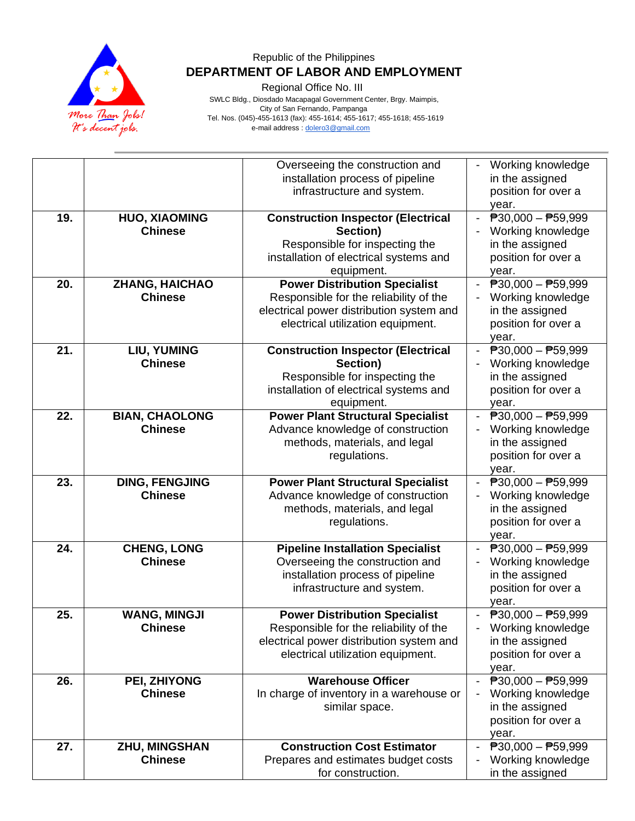

Regional Office No. III

 SWLC Bldg., Diosdado Macapagal Government Center, Brgy. Maimpis, City of San Fernando, Pampanga Tel. Nos. (045)-455-1613 (fax): 455-1614; 455-1617; 455-1618; 455-1619 e-mail address [: dolero3@gmail.com](mailto:dolero3@gmail.com)

|     |                                         | Overseeing the construction and<br>installation process of pipeline<br>infrastructure and system.                                                               | Working knowledge<br>in the assigned<br>position for over a                                                                         |
|-----|-----------------------------------------|-----------------------------------------------------------------------------------------------------------------------------------------------------------------|-------------------------------------------------------------------------------------------------------------------------------------|
|     |                                         |                                                                                                                                                                 | year.                                                                                                                               |
| 19. | <b>HUO, XIAOMING</b><br><b>Chinese</b>  | <b>Construction Inspector (Electrical</b><br>Section)<br>Responsible for inspecting the<br>installation of electrical systems and<br>equipment.                 | $\overline{P}30,000 - \overline{P}59,999$<br>$\blacksquare$<br>Working knowledge<br>in the assigned<br>position for over a<br>year. |
| 20. | <b>ZHANG, HAICHAO</b><br><b>Chinese</b> | <b>Power Distribution Specialist</b><br>Responsible for the reliability of the<br>electrical power distribution system and<br>electrical utilization equipment. | $P30,000 - P59,999$<br>Working knowledge<br>in the assigned<br>position for over a<br>year.                                         |
| 21. | LIU, YUMING<br><b>Chinese</b>           | <b>Construction Inspector (Electrical</b><br>Section)<br>Responsible for inspecting the<br>installation of electrical systems and<br>equipment.                 | $\overline{P}30,000 - \overline{P}59,999$<br>Working knowledge<br>in the assigned<br>position for over a<br>year.                   |
| 22. | <b>BIAN, CHAOLONG</b><br><b>Chinese</b> | <b>Power Plant Structural Specialist</b><br>Advance knowledge of construction<br>methods, materials, and legal<br>regulations.                                  | $\overline{P}30,000 - \overline{P}59,999$<br>$\blacksquare$<br>Working knowledge<br>in the assigned<br>position for over a<br>year. |
| 23. | <b>DING, FENGJING</b><br><b>Chinese</b> | <b>Power Plant Structural Specialist</b><br>Advance knowledge of construction<br>methods, materials, and legal<br>regulations.                                  | $\overline{P}30,000 - \overline{P}59,999$<br>Working knowledge<br>in the assigned<br>position for over a<br>year.                   |
| 24. | <b>CHENG, LONG</b><br><b>Chinese</b>    | <b>Pipeline Installation Specialist</b><br>Overseeing the construction and<br>installation process of pipeline<br>infrastructure and system.                    | $\overline{P}30,000 - \overline{P}59,999$<br>Working knowledge<br>in the assigned<br>position for over a<br>year.                   |
| 25. | <b>WANG, MINGJI</b><br><b>Chinese</b>   | <b>Power Distribution Specialist</b><br>Responsible for the reliability of the<br>electrical power distribution system and<br>electrical utilization equipment. | $\overline{P}30,000 - \overline{P}59,999$<br>Working knowledge<br>in the assigned<br>position for over a<br>year.                   |
| 26. | PEI, ZHIYONG<br><b>Chinese</b>          | <b>Warehouse Officer</b><br>In charge of inventory in a warehouse or<br>similar space.                                                                          | $\overline{P}30,000 - \overline{P}59,999$<br>Working knowledge<br>in the assigned<br>position for over a<br>year.                   |
| 27. | <b>ZHU, MINGSHAN</b><br><b>Chinese</b>  | <b>Construction Cost Estimator</b><br>Prepares and estimates budget costs<br>for construction.                                                                  | $\overline{P}30,000 - \overline{P}59,999$<br>Working knowledge<br>in the assigned                                                   |